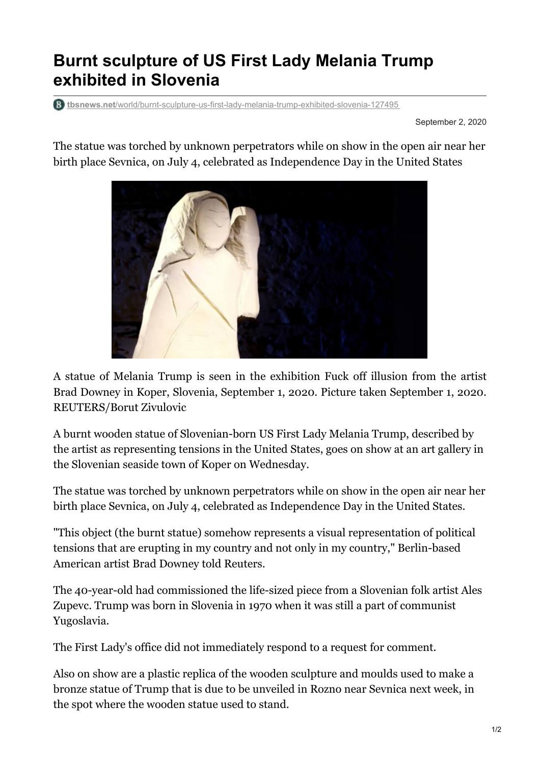## **Burnt sculpture of US First Lady Melania Trump exhibited in Slovenia**

**tbsnews.net**[/world/burnt-sculpture-us-first-lady-melania-trump-exhibited-slovenia-127495](https://tbsnews.net/world/burnt-sculpture-us-first-lady-melania-trump-exhibited-slovenia-127495)

September 2, 2020

The statue was torched by unknown perpetrators while on show in the open air near her birth place Sevnica, on July 4, celebrated as Independence Day in the United States



A statue of Melania Trump is seen in the exhibition Fuck off illusion from the artist Brad Downey in Koper, Slovenia, September 1, 2020. Picture taken September 1, 2020. REUTERS/Borut Zivulovic

A burnt wooden statue of Slovenian-born US First Lady Melania Trump, described by the artist as representing tensions in the United States, goes on show at an art gallery in the Slovenian seaside town of Koper on Wednesday.

The statue was torched by unknown perpetrators while on show in the open air near her birth place Sevnica, on July 4, celebrated as Independence Day in the United States.

"This object (the burnt statue) somehow represents a visual representation of political tensions that are erupting in my country and not only in my country," Berlin-based American artist Brad Downey told Reuters.

The 40-year-old had commissioned the life-sized piece from a Slovenian folk artist Ales Zupevc. Trump was born in Slovenia in 1970 when it was still a part of communist Yugoslavia.

The First Lady's office did not immediately respond to a request for comment.

Also on show are a plastic replica of the wooden sculpture and moulds used to make a bronze statue of Trump that is due to be unveiled in Rozno near Sevnica next week, in the spot where the wooden statue used to stand.